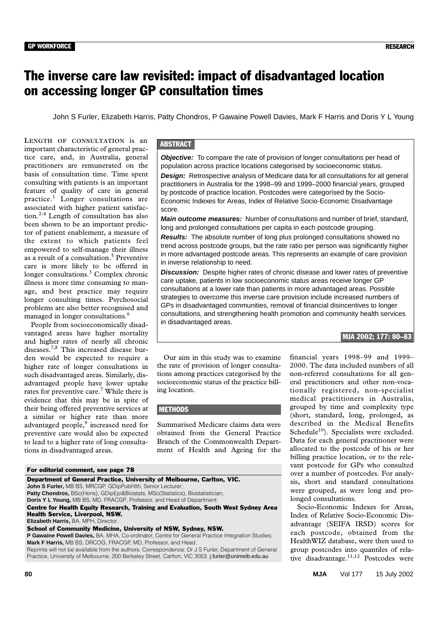# The inverse care law revisited: impact of disadvantaged location on accessing longer GP consultation times

John S Furler, Elizabeth Harris, Patty Chondros, P Gawaine Powell Davies, Mark F Harris and Doris Y L Young

tice care, and, in Australia, general practitioners are remunerated on the ©The Medical Journal of Australia 2002 basis of consultation time. Time spent consulting with patients is an important **LENGTH OF CONSULTATION** is an important characteristic of general pracfeature of quality of care in general practice.1 Longer consultations are associated with higher patient satisfaction.<sup>2-4</sup> Length of consultation has also been shown to be an important predictor of patient enablement, a measure of the extent to which patients feel empowered to self-manage their illness as a result of a consultation.<sup>5</sup> Preventive care is more likely to be offered in longer consultations.<sup>3</sup> Complex chronic illness is more time consuming to manage, and best practice may require longer consulting times. Psychosocial problems are also better recognised and managed in longer consultations.<sup>6</sup>

People from socioeconomically disadvantaged areas have higher mortality and higher rates of nearly all chronic diseases.7,8 This increased disease burden would be expected to require a higher rate of longer consultations in such disadvantaged areas. Similarly, disadvantaged people have lower uptake rates for preventive care.<sup>7</sup> While there is evidence that this may be in spite of their being offered preventive services at a similar or higher rate than more advantaged people,<sup>9</sup> increased need for preventive care would also be expected to lead to a higher rate of long consultations in disadvantaged areas.

# **ABSTRACT**

**Objective:** To compare the rate of provision of longer consultations per head of population across practice locations categorised by socioeconomic status. **Design:** Retrospective analysis of Medicare data for all consultations for all general practitioners in Australia for the 1998–99 and 1999–2000 financial years, grouped by postcode of practice location. Postcodes were categorised by the Socio-Economic Indexes for Areas, Index of Relative Socio-Economic Disadvantage score.

**Main outcome measures:** Number of consultations and number of brief, standard, long and prolonged consultations per capita in each postcode grouping.

**Results:** The absolute number of long plus prolonged consultations showed no trend across postcode groups, but the rate ratio per person was significantly higher in more advantaged postcode areas. This represents an example of care provision in inverse relationship to need.

**Discussion:** Despite higher rates of chronic disease and lower rates of preventive care uptake, patients in low socioeconomic status areas receive longer GP consultations at a lower rate than patients in more advantaged areas. Possible strategies to overcome this inverse care provision include increased numbers of GPs in disadvantaged communities, removal of financial disincentives to longer consultations, and strengthening health promotion and community health services in disadvantaged areas.

# MJA 2002; 177: 80–83

Our aim in this study was to examine the rate of provision of longer consultations among practices categorised by the socioeconomic status of the practice billing location.

### **METHODS**

Summarised Medicare claims data were obtained from the General Practice Branch of the Commonwealth Department of Health and Ageing for the

For editorial comment, see page 78

Department of General Practice, University of Melbourne, Carlton, VIC. **John S Furler,** MB BS, MRCGP, GDipPubHlth, Senior Lecturer; **Patty Chondros, BSc(Hons), GDipEpi&Biostats, MSc(Statistics), Biostatistician; Doris Y L Young,** MB BS, MD, FRACGP, Professor, and Head of Department. Centre for Health Equity Research, Training and Evaluation, South West Sydney Area Health Service, Liverpool, NSW. **Elizabeth Harris,** BA, MPH, Director. School of Community Medicine, University of NSW, Sydney, NSW. **P Gawaine Powell Davies,** BA, MHA, Co-ordinator, Centre for General Practice Integration Studies; **Mark F Harris,** MB BS, DRCOG, FRACGP, MD, Professor, and Head.

Reprints will not be available from the authors. Correspondence: Dr J S Furler, Department of General Practice, University of Melbourne, 200 Berkeley Street, Carlton, VIC 3053. j.furler@unimelb.edu.au

financial years 1998–99 and 1999– 2000. The data included numbers of all non-referred consultations for all general practitioners and other non-vocationally registered, non-specialist medical practitioners in Australia, grouped by time and complexity type (short, standard, long, prolonged, as described in the Medical Benefits Schedule<sup>10</sup>). Specialists were excluded. Data for each general practitioner were allocated to the postcode of his or her billing practice location, or to the relevant postcode for GPs who consulted over a number of postcodes. For analysis, short and standard consultations were grouped, as were long and prolonged consultations.

Socio-Economic Indexes for Areas, Index of Relative Socio-Economic Disadvantage (SEIFA IRSD) scores for each postcode, obtained from the HealthWIZ database, were then used to group postcodes into quantiles of relative disadvantage. $11,12$  Postcodes were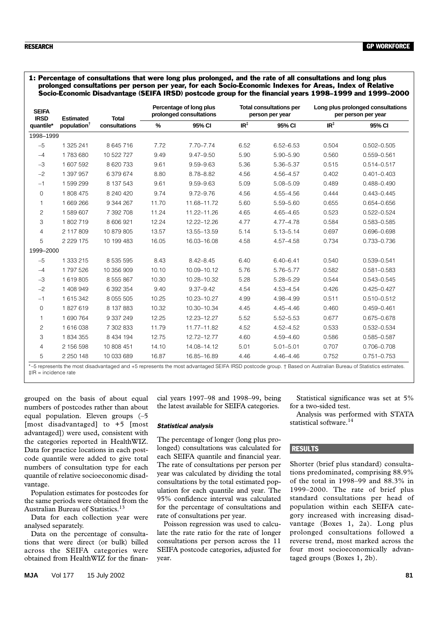1: Percentage of consultations that were long plus prolonged, and the rate of all consultations and long plus prolonged consultations per person per year, for each Socio-Economic Indexes for Areas, Index of Relative Socio-Economic Disadvantage (SEIFA IRSD) postcode group for the financial years 1998–1999 and 1999–2000

| <b>SEIFA</b><br><b>IRSD</b> | <b>Estimated</b><br>population <sup>†</sup> | <b>Total</b><br>consultations | Percentage of long plus<br>prolonged consultations |               | <b>Total consultations per</b><br>person per year |               | Long plus prolonged consultations<br>per person per year |                 |
|-----------------------------|---------------------------------------------|-------------------------------|----------------------------------------------------|---------------|---------------------------------------------------|---------------|----------------------------------------------------------|-----------------|
| quantile*                   |                                             |                               | $\%$                                               | 95% CI        | IR <sup>‡</sup>                                   | 95% CI        | $IR^{\ddagger}$                                          | 95% CI          |
| 1998-1999                   |                                             |                               |                                                    |               |                                                   |               |                                                          |                 |
| $-5$                        | 1 325 241                                   | 8 645 716                     | 7.72                                               | $7.70 - 7.74$ | 6.52                                              | $6.52 - 6.53$ | 0.504                                                    | $0.502 - 0.505$ |
| $-4$                        | 1783680                                     | 10 522 727                    | 9.49                                               | $9.47 - 9.50$ | 5.90                                              | 5.90-5.90     | 0.560                                                    | 0.559-0.561     |
| $-3$                        | 1 607 592                                   | 8 620 733                     | 9.61                                               | $9.59 - 9.63$ | 5.36                                              | 5.36-5.37     | 0.515                                                    | $0.514 - 0.517$ |
| $-2$                        | 1 397 957                                   | 6 379 674                     | 8.80                                               | 8.78-8.82     | 4.56                                              | 4.56-4.57     | 0.402                                                    | $0.401 - 0.403$ |
| $-1$                        | 1599299                                     | 8 137 543                     | 9.61                                               | $9.59 - 9.63$ | 5.09                                              | 5.08-5.09     | 0.489                                                    | $0.488 - 0.490$ |
| 0                           | 1808 475                                    | 8 240 420                     | 9.74                                               | $9.72 - 9.76$ | 4.56                                              | $4.55 - 4.56$ | 0.444                                                    | $0.443 - 0.445$ |
| 1                           | 1 669 266                                   | 9 344 267                     | 11.70                                              | 11.68-11.72   | 5.60                                              | 5.59-5.60     | 0.655                                                    | 0.654-0.656     |
| $\overline{c}$              | 1589607                                     | 7 392 708                     | 11.24                                              | 11.22-11.26   | 4.65                                              | $4.65 - 4.65$ | 0.523                                                    | 0.522-0.524     |
| 3                           | 1802719                                     | 8 606 921                     | 12.24                                              | 12.22-12.26   | 4.77                                              | $4.77 - 4.78$ | 0.584                                                    | 0.583-0.585     |
| $\overline{4}$              | 2 117 809                                   | 10 879 805                    | 13.57                                              | 13.55-13.59   | 5.14                                              | $5.13 - 5.14$ | 0.697                                                    | 0.696-0.698     |
| 5                           | 2 2 2 1 7 5                                 | 10 199 483                    | 16.05                                              | 16.03-16.08   | 4.58                                              | 4.57-4.58     | 0.734                                                    | 0.733-0.736     |
| 1999-2000                   |                                             |                               |                                                    |               |                                                   |               |                                                          |                 |
| $-5$                        | 1 333 215                                   | 8 5 3 5 5 9 5                 | 8.43                                               | $8.42 - 8.45$ | 6.40                                              | $6.40 - 6.41$ | 0.540                                                    | 0.539-0.541     |
| $-4$                        | 1797526                                     | 10 356 909                    | 10.10                                              | 10.09-10.12   | 5.76                                              | 5.76-5.77     | 0.582                                                    | $0.581 - 0.583$ |
| $-3$                        | 1619805                                     | 8 5 5 8 6 7                   | 10.30                                              | 10.28-10.32   | 5.28                                              | $5.28 - 5.29$ | 0.544                                                    | 0.543-0.545     |
| $-2$                        | 1 408 949                                   | 6 392 354                     | 9.40                                               | $9.37 - 9.42$ | 4.54                                              | 4.53-4.54     | 0.426                                                    | $0.425 - 0.427$ |
| $-1$                        | 1 615 342                                   | 8 0 5 5 0 5                   | 10.25                                              | 10.23-10.27   | 4.99                                              | 4.98-4.99     | 0.511                                                    | $0.510 - 0.512$ |
| 0                           | 1827619                                     | 8 137 883                     | 10.32                                              | 10.30-10.34   | 4.45                                              | $4.45 - 4.46$ | 0.460                                                    | $0.459 - 0.461$ |
| 1                           | 1690764                                     | 9 337 249                     | 12.25                                              | 12.23-12.27   | 5.52                                              | $5.52 - 5.53$ | 0.677                                                    | 0.675-0.678     |
| $\overline{c}$              | 1616038                                     | 7 302 833                     | 11.79                                              | 11.77-11.82   | 4.52                                              | $4.52 - 4.52$ | 0.533                                                    | 0.532-0.534     |
| 3                           | 1834355                                     | 8 4 3 4 1 9 4                 | 12.75                                              | 12.72-12.77   | 4.60                                              | 4.59-4.60     | 0.586                                                    | 0.585-0.587     |
| $\overline{4}$              | 2 156 598                                   | 10 808 451                    | 14.10                                              | 14.08-14.12   | 5.01                                              | $5.01 - 5.01$ | 0.707                                                    | 0.706-0.708     |
| 5                           | 2 250 148                                   | 10 033 689                    | 16.87                                              | 16.85-16.89   | 4.46                                              | $4.46 - 4.46$ | 0.752                                                    | $0.751 - 0.753$ |

\*–5 represents the most disadvantaged and +5 represents the most advantaged SEIFA IRSD postcode group. † Based on Australian Bureau of Statistics estimates.  $<sup>†</sup>IR = incidence rate$ </sup>

grouped on the basis of about equal numbers of postcodes rather than about equal population. Eleven groups (–5 [most disadvantaged] to +5 [most advantaged]) were used, consistent with the categories reported in HealthWIZ. Data for practice locations in each postcode quantile were added to give total numbers of consultation type for each quantile of relative socioeconomic disadvantage.

Population estimates for postcodes for the same periods were obtained from the Australian Bureau of Statistics.<sup>13</sup>

Data for each collection year were analysed separately.

Data on the percentage of consultations that were direct (or bulk) billed across the SEIFA categories were obtained from HealthWIZ for the financial years 1997–98 and 1998–99, being the latest available for SEIFA categories.

### *Statistical analysis*

The percentage of longer (long plus prolonged) consultations was calculated for each SEIFA quantile and financial year. The rate of consultations per person per year was calculated by dividing the total consultations by the total estimated population for each quantile and year. The 95% confidence interval was calculated for the percentage of consultations and rate of consultations per year.

Poisson regression was used to calculate the rate ratio for the rate of longer consultations per person across the 11 SEIFA postcode categories, adjusted for year.

Statistical significance was set at 5% for a two-sided test.

Analysis was performed with STATA statistical software.<sup>14</sup>

## RESULTS

Shorter (brief plus standard) consultations predominated, comprising 88.9% of the total in 1998–99 and 88.3% in 1999–2000. The rate of brief plus standard consultations per head of population within each SEIFA category increased with increasing disadvantage (Boxes 1, 2a). Long plus prolonged consultations followed a reverse trend, most marked across the four most socioeconomically advantaged groups (Boxes 1, 2b).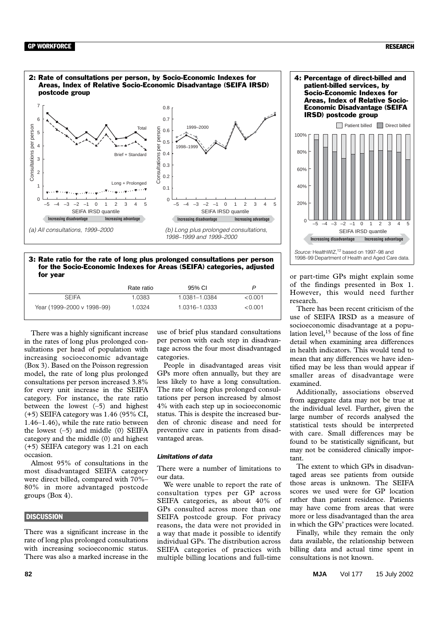

3: Rate ratio for the rate of long plus prolonged consultations per person for the Socio-Economic Indexes for Areas (SEIFA) categories, adjusted for year

|                            | Rate ratio | 95% CI        |         |
|----------------------------|------------|---------------|---------|
| <b>SEIFA</b>               | 1.0383.    | 1.0381-1.0384 | < 0.001 |
| Year (1999–2000 v 1998–99) | 1.0324     | 1.0316-1.0333 | < 0.001 |

There was a highly significant increase in the rates of long plus prolonged consultations per head of population with increasing socioeconomic advantage (Box 3). Based on the Poisson regression model, the rate of long plus prolonged consultations per person increased 3.8% for every unit increase in the SEIFA category. For instance, the rate ratio between the lowest (–5) and highest (+5) SEIFA category was 1.46 (95% CI, 1.46–1.46), while the rate ratio between the lowest  $(-5)$  and middle  $(0)$  SEIFA category and the middle (0) and highest (+5) SEIFA category was 1.21 on each occasion.

Almost 95% of consultations in the most disadvantaged SEIFA category were direct billed, compared with 70%– 80% in more advantaged postcode groups (Box 4).

### **DISCUSSION**

There was a significant increase in the rate of long plus prolonged consultations with increasing socioeconomic status. There was also a marked increase in the

1.

use of brief plus standard consultations per person with each step in disadvantage across the four most disadvantaged categories.

People in disadvantaged areas visit GPs more often annually, but they are less likely to have a long consultation. The rate of long plus prolonged consultations per person increased by almost 4% with each step up in socioeconomic status. This is despite the increased burden of chronic disease and need for preventive care in patients from disadvantaged areas.

### *Limitations of data*

There were a number of limitations to our data.

We were unable to report the rate of consultation types per GP across SEIFA categories, as about 40% of GPs consulted across more than one SEIFA postcode group. For privacy reasons, the data were not provided in a way that made it possible to identify individual GPs. The distribution across SEIFA categories of practices with multiple billing locations and full-time



or part-time GPs might explain some of the findings presented in Box 1. However, this would need further research.

**Increasing disadvantage Increasing advantage**

*Source:* HealthWIZ,12 based on 1997–98 and 1998–99 Department of Health and Aged Care data.

There has been recent criticism of the use of SEIFA IRSD as a measure of socioeconomic disadvantage at a population level,  $15$  because of the loss of fine detail when examining area differences in health indicators. This would tend to mean that any differences we have identified may be less than would appear if smaller areas of disadvantage were examined.

Additionally, associations observed from aggregate data may not be true at the individual level. Further, given the large number of records analysed the statistical tests should be interpreted with care. Small differences may be found to be statistically significant, but may not be considered clinically important.

The extent to which GPs in disadvantaged areas see patients from outside those areas is unknown. The SEIFA scores we used were for GP location rather than patient residence. Patients may have come from areas that were more or less disadvantaged than the area in which the GPs' practices were located.

Finally, while they remain the only data available, the relationship between billing data and actual time spent in consultations is not known.